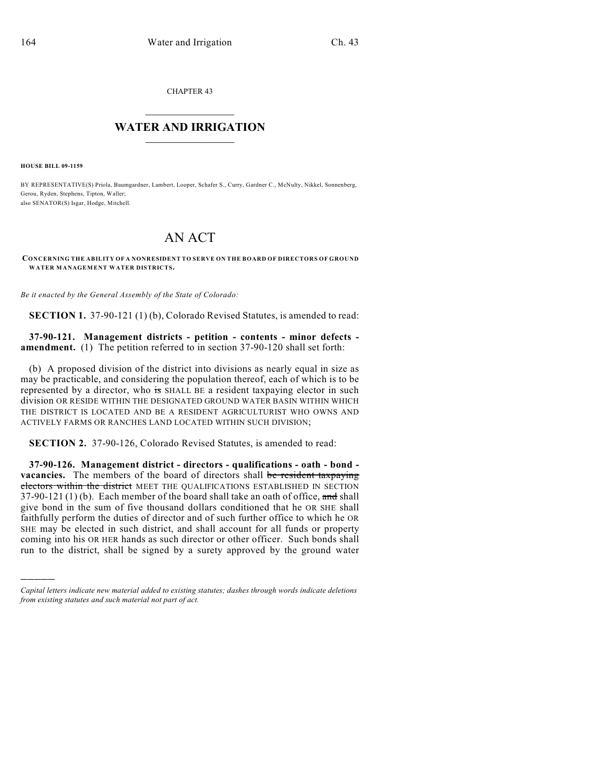CHAPTER 43  $\mathcal{L}_\text{max}$  . The set of the set of the set of the set of the set of the set of the set of the set of the set of the set of the set of the set of the set of the set of the set of the set of the set of the set of the set

## **WATER AND IRRIGATION**  $\_$   $\_$

**HOUSE BILL 09-1159**

)))))

BY REPRESENTATIVE(S) Priola, Baumgardner, Lambert, Looper, Schafer S., Curry, Gardner C., McNulty, Nikkel, Sonnenberg, Gerou, Ryden, Stephens, Tipton, Waller; also SENATOR(S) Isgar, Hodge, Mitchell.

## AN ACT

**CONCERNING THE ABILITY OF A NONRESIDENT TO SERVE ON THE BOARD OF DIRECTORS OF GROUND WATER MANAGEMENT WATER DISTRICTS.**

*Be it enacted by the General Assembly of the State of Colorado:*

**SECTION 1.** 37-90-121 (1) (b), Colorado Revised Statutes, is amended to read:

**37-90-121. Management districts - petition - contents - minor defects amendment.** (1) The petition referred to in section 37-90-120 shall set forth:

(b) A proposed division of the district into divisions as nearly equal in size as may be practicable, and considering the population thereof, each of which is to be represented by a director, who is SHALL BE a resident taxpaying elector in such division OR RESIDE WITHIN THE DESIGNATED GROUND WATER BASIN WITHIN WHICH THE DISTRICT IS LOCATED AND BE A RESIDENT AGRICULTURIST WHO OWNS AND ACTIVELY FARMS OR RANCHES LAND LOCATED WITHIN SUCH DIVISION;

**SECTION 2.** 37-90-126, Colorado Revised Statutes, is amended to read:

**37-90-126. Management district - directors - qualifications - oath - bond vacancies.** The members of the board of directors shall be resident taxpaying electors within the district MEET THE QUALIFICATIONS ESTABLISHED IN SECTION  $37-90-121(1)$  (b). Each member of the board shall take an oath of office, and shall give bond in the sum of five thousand dollars conditioned that he OR SHE shall faithfully perform the duties of director and of such further office to which he OR SHE may be elected in such district, and shall account for all funds or property coming into his OR HER hands as such director or other officer. Such bonds shall run to the district, shall be signed by a surety approved by the ground water

*Capital letters indicate new material added to existing statutes; dashes through words indicate deletions from existing statutes and such material not part of act.*